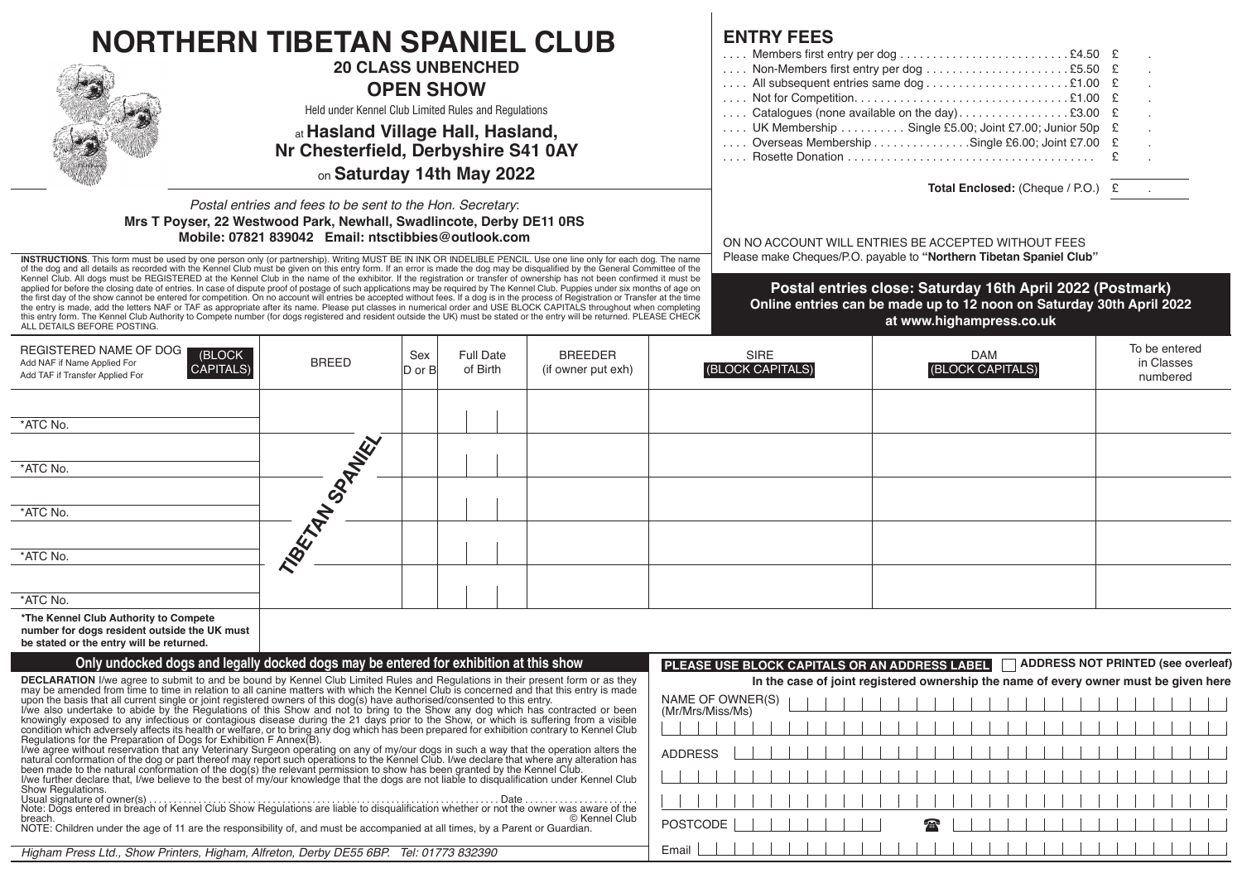| <b>NORTHERN TIBETAN SPANIEL CLUB</b>                                                                                                                                                                                                                                                                                                                                                                                                                                                                                                                                                                                                                                                                                                                                                                                                                                                                                                    |                                                      |            |                           |                    |                                                                                                                            | <b>ENTRY FEES</b>                                                                    |                                                                                                                                                               |                                    |  |  |
|-----------------------------------------------------------------------------------------------------------------------------------------------------------------------------------------------------------------------------------------------------------------------------------------------------------------------------------------------------------------------------------------------------------------------------------------------------------------------------------------------------------------------------------------------------------------------------------------------------------------------------------------------------------------------------------------------------------------------------------------------------------------------------------------------------------------------------------------------------------------------------------------------------------------------------------------|------------------------------------------------------|------------|---------------------------|--------------------|----------------------------------------------------------------------------------------------------------------------------|--------------------------------------------------------------------------------------|---------------------------------------------------------------------------------------------------------------------------------------------------------------|------------------------------------|--|--|
|                                                                                                                                                                                                                                                                                                                                                                                                                                                                                                                                                                                                                                                                                                                                                                                                                                                                                                                                         |                                                      |            |                           |                    |                                                                                                                            |                                                                                      | Members first entry per dog £4.50                                                                                                                             |                                    |  |  |
|                                                                                                                                                                                                                                                                                                                                                                                                                                                                                                                                                                                                                                                                                                                                                                                                                                                                                                                                         |                                                      |            | <b>20 CLASS UNBENCHED</b> |                    |                                                                                                                            |                                                                                      |                                                                                                                                                               |                                    |  |  |
|                                                                                                                                                                                                                                                                                                                                                                                                                                                                                                                                                                                                                                                                                                                                                                                                                                                                                                                                         | <b>OPEN SHOW</b>                                     |            |                           |                    |                                                                                                                            |                                                                                      |                                                                                                                                                               |                                    |  |  |
|                                                                                                                                                                                                                                                                                                                                                                                                                                                                                                                                                                                                                                                                                                                                                                                                                                                                                                                                         | Held under Kennel Club Limited Rules and Regulations |            |                           |                    |                                                                                                                            |                                                                                      | Catalogues (none available on the day)£3.00                                                                                                                   |                                    |  |  |
|                                                                                                                                                                                                                                                                                                                                                                                                                                                                                                                                                                                                                                                                                                                                                                                                                                                                                                                                         | at Hasland Village Hall, Hasland,                    |            |                           |                    |                                                                                                                            | UK Membership  Single £5.00; Joint £7.00; Junior 50p £                               |                                                                                                                                                               |                                    |  |  |
|                                                                                                                                                                                                                                                                                                                                                                                                                                                                                                                                                                                                                                                                                                                                                                                                                                                                                                                                         | Nr Chesterfield, Derbyshire S41 0AY                  |            |                           |                    |                                                                                                                            |                                                                                      | Overseas Membership Single £6.00; Joint £7.00 £                                                                                                               |                                    |  |  |
|                                                                                                                                                                                                                                                                                                                                                                                                                                                                                                                                                                                                                                                                                                                                                                                                                                                                                                                                         |                                                      |            |                           |                    |                                                                                                                            |                                                                                      |                                                                                                                                                               |                                    |  |  |
| on Saturday 14th May 2022                                                                                                                                                                                                                                                                                                                                                                                                                                                                                                                                                                                                                                                                                                                                                                                                                                                                                                               |                                                      |            |                           |                    |                                                                                                                            | Total Enclosed: (Cheque / P.O.) £                                                    |                                                                                                                                                               |                                    |  |  |
| Postal entries and fees to be sent to the Hon. Secretary:<br>Mrs T Poyser, 22 Westwood Park, Newhall, Swadlincote, Derby DE11 0RS<br>Mobile: 07821 839042 Email: ntsctibbies@outlook.com<br>INSTRUCTIONS. This form must be used by one person only (or partnership). Writing MUST BE IN INK OR INDELIBLE PENCIL. Use one line only for each dog. The name                                                                                                                                                                                                                                                                                                                                                                                                                                                                                                                                                                              |                                                      |            |                           |                    | ON NO ACCOUNT WILL ENTRIES BE ACCEPTED WITHOUT FEES<br>Please make Cheques/P.O. payable to "Northern Tibetan Spaniel Club" |                                                                                      |                                                                                                                                                               |                                    |  |  |
| of the dog and all details as recorded with the Kennel Club must be given on this entry form. If an error is made the dog may be disqualified by the General Committee of the                                                                                                                                                                                                                                                                                                                                                                                                                                                                                                                                                                                                                                                                                                                                                           |                                                      |            |                           |                    |                                                                                                                            |                                                                                      |                                                                                                                                                               |                                    |  |  |
| Kennel Club. All dogs must be REGISTERED at the Kennel Club in the name of the exhibitor. If the registration or transfer of ownership has not been confirmed it must be<br>applied for before the closing date of entries. In case of dispute proof of postage of such applications may be required by The Kennel Club. Puppies under six months of age on<br>the first day of the show cannot be entered for competition. On no account will entries be accepted without fees. If a dog is in the process of Registration or Transfer at the time<br>the entry is made, add the letters NAF or TAF as appropriate after its name. Please put classes in numerical order and USE BLOCK CAPITALS throughout when completing<br>this entry form. The Kennel Club Authority to Compete number (for dogs registered and resident outside the UK) must be stated or the entry will be returned. PLEASE CHECK<br>ALL DETAILS BEFORE POSTING. |                                                      |            |                           |                    |                                                                                                                            |                                                                                      | Postal entries close: Saturday 16th April 2022 (Postmark)<br>Online entries can be made up to 12 noon on Saturday 30th April 2022<br>at www.highampress.co.uk |                                    |  |  |
| REGISTERED NAME OF DOG<br>(BLOCK                                                                                                                                                                                                                                                                                                                                                                                                                                                                                                                                                                                                                                                                                                                                                                                                                                                                                                        |                                                      | Sex        | <b>Full Date</b>          | <b>BREEDER</b>     |                                                                                                                            | SIRE                                                                                 | <b>DAM</b>                                                                                                                                                    | To be entered                      |  |  |
| Add NAF if Name Applied For<br><b>CAPITALS)</b><br>Add TAF if Transfer Applied For                                                                                                                                                                                                                                                                                                                                                                                                                                                                                                                                                                                                                                                                                                                                                                                                                                                      | <b>BREED</b>                                         | $D$ or $B$ | of Birth                  | (if owner put exh) |                                                                                                                            | (BLOCK CAPITALS)                                                                     | (BLOCK CAPITALS)                                                                                                                                              | in Classes<br>numbered             |  |  |
|                                                                                                                                                                                                                                                                                                                                                                                                                                                                                                                                                                                                                                                                                                                                                                                                                                                                                                                                         |                                                      |            |                           |                    |                                                                                                                            |                                                                                      |                                                                                                                                                               |                                    |  |  |
|                                                                                                                                                                                                                                                                                                                                                                                                                                                                                                                                                                                                                                                                                                                                                                                                                                                                                                                                         |                                                      |            |                           |                    |                                                                                                                            |                                                                                      |                                                                                                                                                               |                                    |  |  |
| *ATC No.                                                                                                                                                                                                                                                                                                                                                                                                                                                                                                                                                                                                                                                                                                                                                                                                                                                                                                                                |                                                      |            |                           |                    |                                                                                                                            |                                                                                      |                                                                                                                                                               |                                    |  |  |
|                                                                                                                                                                                                                                                                                                                                                                                                                                                                                                                                                                                                                                                                                                                                                                                                                                                                                                                                         |                                                      |            |                           |                    |                                                                                                                            |                                                                                      |                                                                                                                                                               |                                    |  |  |
|                                                                                                                                                                                                                                                                                                                                                                                                                                                                                                                                                                                                                                                                                                                                                                                                                                                                                                                                         |                                                      |            |                           |                    |                                                                                                                            |                                                                                      |                                                                                                                                                               |                                    |  |  |
| *ATC No.                                                                                                                                                                                                                                                                                                                                                                                                                                                                                                                                                                                                                                                                                                                                                                                                                                                                                                                                |                                                      |            |                           |                    |                                                                                                                            |                                                                                      |                                                                                                                                                               |                                    |  |  |
|                                                                                                                                                                                                                                                                                                                                                                                                                                                                                                                                                                                                                                                                                                                                                                                                                                                                                                                                         |                                                      |            |                           |                    |                                                                                                                            |                                                                                      |                                                                                                                                                               |                                    |  |  |
| *ATC No.                                                                                                                                                                                                                                                                                                                                                                                                                                                                                                                                                                                                                                                                                                                                                                                                                                                                                                                                |                                                      |            |                           |                    |                                                                                                                            |                                                                                      |                                                                                                                                                               |                                    |  |  |
|                                                                                                                                                                                                                                                                                                                                                                                                                                                                                                                                                                                                                                                                                                                                                                                                                                                                                                                                         | TIBE-TATION PATTLEY                                  |            |                           |                    |                                                                                                                            |                                                                                      |                                                                                                                                                               |                                    |  |  |
|                                                                                                                                                                                                                                                                                                                                                                                                                                                                                                                                                                                                                                                                                                                                                                                                                                                                                                                                         |                                                      |            |                           |                    |                                                                                                                            |                                                                                      |                                                                                                                                                               |                                    |  |  |
| *ATC No.                                                                                                                                                                                                                                                                                                                                                                                                                                                                                                                                                                                                                                                                                                                                                                                                                                                                                                                                |                                                      |            |                           |                    |                                                                                                                            |                                                                                      |                                                                                                                                                               |                                    |  |  |
|                                                                                                                                                                                                                                                                                                                                                                                                                                                                                                                                                                                                                                                                                                                                                                                                                                                                                                                                         |                                                      |            |                           |                    |                                                                                                                            |                                                                                      |                                                                                                                                                               |                                    |  |  |
| *ATC No.                                                                                                                                                                                                                                                                                                                                                                                                                                                                                                                                                                                                                                                                                                                                                                                                                                                                                                                                |                                                      |            |                           |                    |                                                                                                                            |                                                                                      |                                                                                                                                                               |                                    |  |  |
| *The Kennel Club Authority to Compete<br>number for dogs resident outside the UK must<br>be stated or the entry will be returned.                                                                                                                                                                                                                                                                                                                                                                                                                                                                                                                                                                                                                                                                                                                                                                                                       |                                                      |            |                           |                    |                                                                                                                            |                                                                                      |                                                                                                                                                               |                                    |  |  |
| Only undocked dogs and legally docked dogs may be entered for exhibition at this show                                                                                                                                                                                                                                                                                                                                                                                                                                                                                                                                                                                                                                                                                                                                                                                                                                                   |                                                      |            |                           |                    |                                                                                                                            | PLEASE USE BLOCK CAPITALS OR AN ADDRESS LABEL                                        |                                                                                                                                                               | ADDRESS NOT PRINTED (see overleaf) |  |  |
| DECLARATION I/we agree to submit to and be bound by Kennel Club Limited Rules and Regulations in their present form or as they                                                                                                                                                                                                                                                                                                                                                                                                                                                                                                                                                                                                                                                                                                                                                                                                          |                                                      |            |                           |                    |                                                                                                                            | In the case of joint registered ownership the name of every owner must be given here |                                                                                                                                                               |                                    |  |  |
| may be amended from time to time in relation to all canine matters with which the Kennel Club is concerned and that this entry is made<br>upon the basis that all current single or joint registered owners of this dog(s) have authorised/consented to this entry.                                                                                                                                                                                                                                                                                                                                                                                                                                                                                                                                                                                                                                                                     |                                                      |            |                           |                    |                                                                                                                            | NAME OF OWNER(S)                                                                     |                                                                                                                                                               |                                    |  |  |
| I/we also undertake to abide by the Regulations of this Show and not to bring to the Show any dog which has contracted or been                                                                                                                                                                                                                                                                                                                                                                                                                                                                                                                                                                                                                                                                                                                                                                                                          |                                                      |            |                           |                    | (Mr/Mrs/Miss/Ms)                                                                                                           |                                                                                      |                                                                                                                                                               |                                    |  |  |
| knowingly exposed to any infectious or contagious disease during the 21 days prior to the Show, or which is suffering from a visible<br>condition which adversely affects its health or welfare, or to bring any dog which has been prepared for exhibition contrary to Kennel Club                                                                                                                                                                                                                                                                                                                                                                                                                                                                                                                                                                                                                                                     |                                                      |            |                           |                    |                                                                                                                            |                                                                                      |                                                                                                                                                               |                                    |  |  |
| Regulations for the Preparation of Dogs for Exhibition F Annex(B).<br>The agree without reservation that any Veterinary Surgeon operating on any of my/our dogs in such a way that the operation alters the<br>natural conformation of the dog or part thereof may report such operations to the Kennel                                                                                                                                                                                                                                                                                                                                                                                                                                                                                                                                                                                                                                 |                                                      |            |                           |                    | <b>ADDRESS</b>                                                                                                             |                                                                                      |                                                                                                                                                               |                                    |  |  |
| I/we further declare that, I/we believe to the best of my/our knowledge that the dogs are not liable to disqualification under Kennel Club                                                                                                                                                                                                                                                                                                                                                                                                                                                                                                                                                                                                                                                                                                                                                                                              |                                                      |            |                           |                    |                                                                                                                            |                                                                                      |                                                                                                                                                               |                                    |  |  |
| Show Regulations.                                                                                                                                                                                                                                                                                                                                                                                                                                                                                                                                                                                                                                                                                                                                                                                                                                                                                                                       |                                                      |            |                           |                    |                                                                                                                            |                                                                                      |                                                                                                                                                               |                                    |  |  |
|                                                                                                                                                                                                                                                                                                                                                                                                                                                                                                                                                                                                                                                                                                                                                                                                                                                                                                                                         |                                                      |            |                           |                    |                                                                                                                            |                                                                                      |                                                                                                                                                               |                                    |  |  |
| © Kennel Club<br>breach.<br>NOTE: Children under the age of 11 are the responsibility of, and must be accompanied at all times, by a Parent or Guardian.                                                                                                                                                                                                                                                                                                                                                                                                                                                                                                                                                                                                                                                                                                                                                                                |                                                      |            |                           |                    | <b>POSTCODE</b>                                                                                                            |                                                                                      |                                                                                                                                                               |                                    |  |  |
| Higham Press Ltd., Show Printers, Higham, Alfreton, Derby DE55 6BP. Tel: 01773 832390                                                                                                                                                                                                                                                                                                                                                                                                                                                                                                                                                                                                                                                                                                                                                                                                                                                   |                                                      |            |                           |                    | Email                                                                                                                      |                                                                                      |                                                                                                                                                               |                                    |  |  |